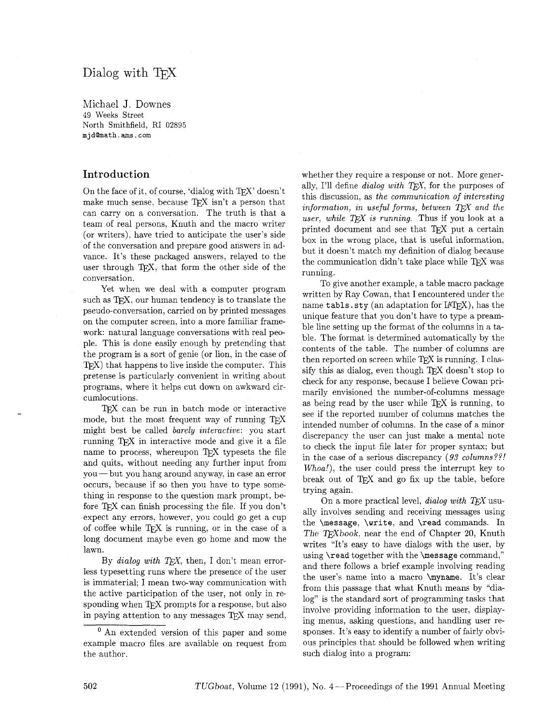# Dialog with T<sub>FX</sub>

Michael J. Downes 49 Weeks Street North Smithfield, RI 02895 mjd@math.ams.com

### **Introduction**

On the face of it, of course, 'dialog with TEX' doesn't make much sense, because TFX isn't a person that can carry on a conversation. The truth is that a team of real persons, Knuth and the macro writer (or writers), have tried to anticipate the user's side of the conversation and prepare good answers in advance. It's these packaged answers, relayed to the user through TEX, that form the other side of the conversation.

Yet when we deal with a computer program such as T<sub>F</sub>X, our human tendency is to translate the pseudo-conversation, carried on by printed messages on the computer screen, into a more familiar framework: natural language conversations with real people. This is done easily enough by pretending that the program is a sort of genie (or lion, in the case of  $TFX$ ) that happens to live inside the computer. This pretense is particularly convenient in writing about programs, where it helps cut down on awkward circumlocutions.

TEX can be run in batch mode or interactive mode, but the most frequent way of running  $T_F X$ might best be called *barely interactive*: you start running T<sub>E</sub>X in interactive mode and give it a file name to process, whereupon TFX typesets the file maine to process, whereupon TEX typesets the me<br>and quits, without needing any further input from<br>you — but you hang around anyway, in case an error occurs, because if so then you have to type something in response to the question mark prompt, before T<sub>E</sub>X can finish processing the file. If you don't expect any errors. however, you could go get a cup of coffee while  $T_{F}X$  is running, or in the case of a long document maybe even go home and mow the lawn.

By *dialog with TEX*, then, I don't mean errorless typesetting runs where the presence of the user is immaterial; I mean two-way communication with the active participation of the user, not only in responding when TFX prompts for a response, but also in paying attention to any messages T<sub>F</sub>X may send,

whether they require a response or not. More generally, I'll define *dialog with TFX*, for the purposes of this discussion, as the communication of interesting *information, in useful forms, between TFX and the user, while TEX is running.* Thus if you look at a printed document and see that T<sub>F</sub>X put a certain box in the wrong place, that is useful information, but it doesn't match my definition of dialog because the communication didn't take place while TEX was running.

To give another example, a table macro package written by Ray Cowan, that I encountered under the name  $\tt tables.sty$  (an adaptation for  $IATEX$ ), has the unique feature that you don't have to type a preamble line setting up the format of the columns in a table. The format is determined automatically by the contents of the table. The number of columns are then reported on screen while  $Tr X$  is running. I classify this as dialog, even though  $T_{E}X$  doesn't stop to check for any response, because I believe Cowan primarily envisioned the number-of-columns message check for any response, because I believe Cowan pri-<br>marily envisioned the number-of-columns message<br>as being read by the user while T<sub>E</sub>X is running, to<br>see if the reported number of columns matches the see if the reported number of columns matches the intended number of columns. In the case of a minor discrepancy the user can just make a mental note to check the input file later for proper syntax; but in the case of a serious discrepancy (93 *columns??! Whoa!),* the user could press the interrupt key to break out of T<sub>F</sub>X and go fix up the table, before trying again.

On a more practical level, *dialog with TEX* usually involves sending and receiving messages using the \message, \write, and \read commands. In The T<sub>F</sub>Xbook, near the end of Chapter 20, Knuth writes "It's easy to have dialogs with the user, by using \read together with the \message command," and there follows a brief example involving reading the user's name into a macro \myname. It's clear from this passage that what Knuth means by "dialog" is the standard sort of programming tasks that involve providing information to the user, displaying menus, asking questions, and handling user responses. It's easy to identify a number of fairly obvious principles that should be followed when writing such dialog into a program:

**<sup>O</sup>**An extended version of this paper and some example macro files are available on request from the author.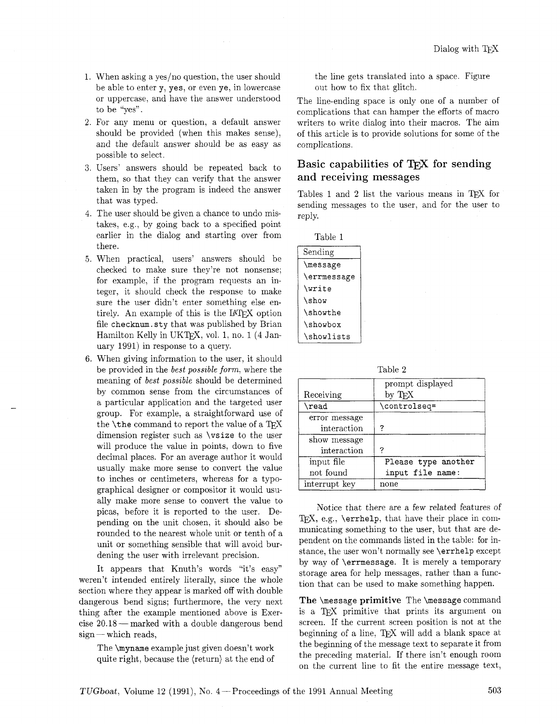- When asking a yes/no question, the user should be able to enter y, yes, or even ye, in lowercase or uppercase, and have the answer understood to be "yes".
- For any menu or question, a default answer should be provided (when this makes sense), and the default answer should be as easy as possible to select.
- Users' answers should be repeated back to them, so that they can verify that the answer taken in by the program is indeed the answer that was typed.
- The user should be given a chance to undo mistakes, e.g., by going back to a specified point earlier in the dialog and starting over from there.
- When practical, users' answers should be checked to make sure they're not nonsense; for example, if the program requests an integer, it should check the response to make sure the user didn't enter something else entirely. An example of this is the IATFX option file checknum. sty that was published by Brian Hamilton Kelly in UKT<sub>F</sub>X, vol. 1, no. 1 (4 January 1991) in response to a query.
- When giving information to the user, it should be provided in the *best possible form*, where the meaning of best possible should be determined by common sense from the circumstances of a particular application and the targeted user group. For example, a straightforward use of the  $\theta$ the command to report the value of a TFX dimension register such as \vsize to the user will produce the value in points, down to five decimal places. For an average author it would usually make more sense to convert the value to inches or centimeters, whereas for a typographical designer or compositor it would usually make more sense to convert the value to picas, before it is reported to the user. Depending on the unit chosen, it should also be rounded to the nearest whole unit or tenth of a unit or something sensible that will avoid burdening the user with irrelevant precision.

It appears that Knuth's words "it's easy" weren't intended entirely literally, since the whole section where they appear is marked off with double dangerous bend signs; furthermore, the very next thing after the example mentioned above is Exercise 20.18 — marked with a double dangerous bend<br>sign — which reads,

The \myname example just given doesn't work quite right, because the (return) at the end of the line gets translated into a space. Figure out how to fix that glitch.

The line-ending space is only one of a number of complications that can hamper the efforts of macro writers to write dialog into their macros. The aim of this article is to provide solutions for some of the complications.

# Basic capabilities of T<sub>E</sub>X for sending and receiving messages

Tables 1 and 2 list the various means in TFX for sending messages to the user, and for the user to reply.

| Table 1     |  |
|-------------|--|
| Sending     |  |
| \message    |  |
| \errmessage |  |
| \write      |  |
| \show       |  |
| \showthe    |  |
| \showbox    |  |
| \showlists  |  |

Table 2

|               | prompt displayed    |
|---------------|---------------------|
| Receiving     | by TFX              |
| $\chi$ read   | \controlseq=        |
| error message |                     |
| interaction   | ?                   |
| show message  |                     |
| interaction   | 7                   |
| input file    | Please type another |
| not found     | input file name:    |
| interrupt key | none                |

Notice that there are a few related features of TEX, e.g., \errhelp, that have their place in communicating something to the user, but that are dependent on the commands listed in the table: for instance, the user won't normally see \errhelp except by way of \errmessage. It is merely a temporary storage area for help messages, rather than a function that can be used to make something happen.

The **\message primitive** The **\message** command The  $\text{Sineq map}$ <br>
The  $\text{Sineq map}$  primitive that prints its argument on<br>
is a TEX primitive that prints its argument on<br>
screen If the current screen position is not at the screen. If the current screen position is not at the beginning of a line,  $TFX$  will add a blank space at the beginning of the message text to separate it from the preceding material. If there isn't enough room on the current line to fit the entire message text,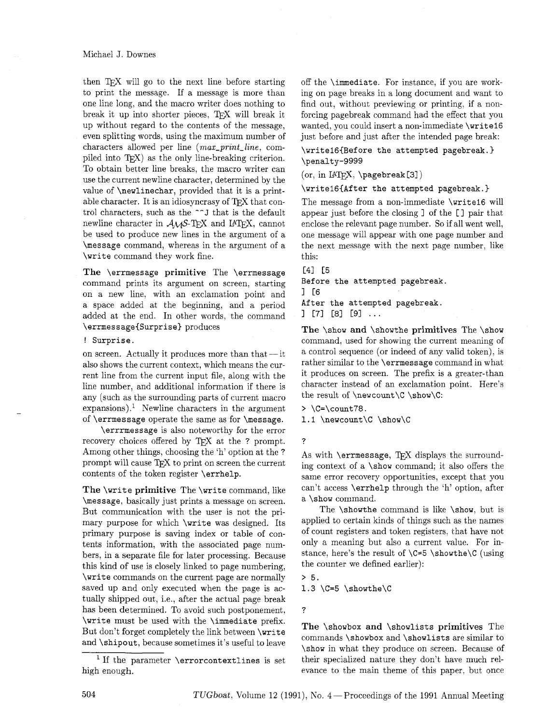then  $TFX$  will go to the next line before starting to print the message. If a message is more than one line long, and the macro writer does nothing to break it up into shorter pieces, TEX will break it up without regard to the contents of the message, even splitting words, using the maximum number of characters allowed per line (max-print-line, compiled into T<sub>E</sub>X) as the only line-breaking criterion. To obtain better line breaks, the macro writer can use the current newline character, determined by the value of \newlinechar, provided that it is a printable character. It is an idiosyncrasy of TEX that control characters, such as the  $\char'$  J that is the default newline character in  $A\mathcal{M}S$ -TEX and IATEX, cannot be used to produce new lines in the argument of a \message command, whereas in the argument of a \write command they work fine.

**The** \errmessage **primitive** The \errmessage command prints its argument on screen, starting on a new line, with an exclamation point and a space added at the beginning, and a period added at the end. In other words, the command \errmessage{Surprise} produces

#### ! Surprise.

on screen. Actually it produces more than that  $-$  it also shows the current context, which means the current line from the current input file, along with the line number, and additional information if there is any (such as the surrounding parts of current macro expansions).' Newline characters in the argument of \errmessage operate the same as for \message.

\errmessage is also noteworthy for the error recovery choices offered by TEX at the ? prompt. Among other things, choosing the 'h' option at the ? prompt will cause TEX to print on screen the current contents of the token register \errhelp.

**The** \write **primitive** The \write command, like \message, basically just prints a message on screen. But communication with the user is not the primary purpose for which \write was designed. Its primary purpose is saving index or table of contents information, with the associated page numbers, in a separate file for later processing. Because this kind of use is closely linked to page numbering, \write commands on the current page are normally saved up and only executed when the page is actually shipped out, i.e., after the actual page break has been determined. To avoid such postponement, \write must be used with the \immediate prefix. But don't forget completely the link between \write and \shipout, because sometimes it's useful to leave

off the \immediate. For instance, if you are working on page breaks in a long document and want to find out, without previewing or printing, if a nonforcing pagebreak command had the effect that you wanted, you could insert a non-immediate \write16 just before and just after the intended page break:

\write16{Before the attempted pagebreak.} \penalty-9999

 $(or, in IATEX, \pmb{\rightarrow} \pmb{\text{pagebreak[3]}})$ 

\writelGCAfter the attempted pagebreak.)

The message from a non-immediate \write16 will appear just before the closing 1 of the [ I pair that enclose the relevant page number. So if all went well, one message will appear with one page number and the next message with the next page number, like this:

C41 **C5** 

Before the attempted pagebreak. I [6 After the attempted pagebreak.

 $J$  [7] [8] [9] ...

The \show **and** \showthe **primitives** The \show command, used for showing the current meaning of a control sequence (or indeed of any valid token), is rather similar to the \errmessage command in what it produces on screen. The prefix is a greater-than character instead of an exclamation point. Here's the result of  $\newcommand{\@model}{new}$  \newcount \C  $\sum$  \chow\C:

> \C=\count78.

1.1 \newcount\C \show\C

?

As with  $\er$ rmessage, TFX displays the surrounding context of a \show command; it also offers the same error recovery opportunities, except that you can't access \errhelp through the 'h' option, after a \show command.

The \showthe command is like \show, but is applied to certain kinds of things such as the names of count registers and token registers, that have not only a meaning but also a current value. For instance, here's the result of  $C=5 \square$ the counter we defined earlier):

 $> 5.$ 

1.3  $C=5$   $\sum the$ 

?

**The** \showbox **and** \showlists **primitives** The commands \showbox and \showlists are similar to \show in what they produce on screen. Because of their specialized nature they don't have much relevance to the main theme of this paper, but once

<sup>&</sup>lt;sup>1</sup> If the parameter  $\qquad$  rrorcontextlines is set high enough.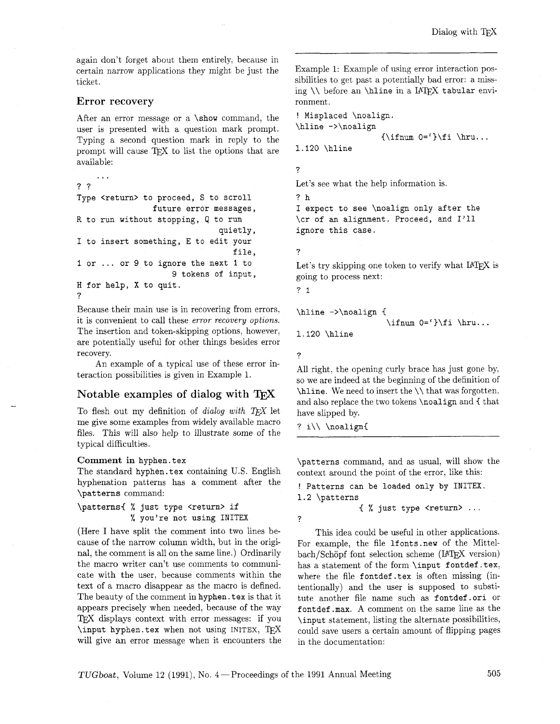again don't forget about them entirely, because in certain narrow applications they might be just the ticket.

#### Error recovery

After an error message or a \show command, the user is presented with a question mark prompt. Typing a second question mark in reply to the prompt will cause  $T_{\rm F}X$  to list the options that are available:

. . . ?? Type <return> to proceed, S to scroll future error messages, R to run without stopping, **Q** to run quietly, I to insert something, E to edit your file, I or ... or 9 to ignore the next I to 9 tokens of input, H for help, X to quit. ?

Because their main use is in recovering from errors. it is convenient to call these *error recovery options*. The insertion and token-skipping options, however, are potentially useful for other things besides error recovery.

An example of a typical use of these error interaction possibilities is given in Example 1.

### Notable examples of dialog with T<sub>F</sub>X

To flesh out my definition of *dialog with TEX* let me give some examples from widely available macro files. This will also help to illustrate some of the typical difficulties.

#### **Comment** in hyphen. tex

The standard hyphen. tex containing U.S. English hyphenation patterns has a comment after the \patterns command:

\patterns< % just type <return> if % you're not using INITEX

(Here I have split the comment into two lines because of the narrow column width, but in the original, the comment is all on the same line.) Ordinarily the macro writer can't use comments to communicate with the user, because comments within the text of a macro disappear as the macro is defined. The beauty of the comment in hyphen. tex is that it appears precisely when needed, because of the way TFX displays context with error messages: if you \input hyphen. tex when not using INITEX, TFX will give an error message when it encounters the

Example 1: Example of using error interaction possibilities to get past a potentially bad error: a missing  $\setminus$  before an  $\hbox{hline}$  in a IATEX tabular environment.

! Misplaced \noalign. \hline ->\noalign  ${\rightarrow}$  0='}\fi \hru...

1.120 \hline

Let's see what the help information is.

?h I expect to see \noalign only after the \cr of an alignment. Proceed, and I'll ignore this case.

?

?

Let's try skipping one token to verify what IATFX is going to process next:

? **2.** 

```
\hline ->\noalign {
                                   \ifnum 0=f\ifmmode{\dfrac{1}{1}}\ifmmode{\dfrac{1}{1}}\fi \hru...
1.120 \hline
```
?

?

All right, the opening curly brace has just gone by, so we are indeed at the beginning of the definition of \hline. We need to insert the \\ that was forgotten. and also replace the two tokens \noalign and { that have slipped by.

? i\\ \noalign{

\patterns command, and as usual, will show the context around the point of the error, like this:

! Patterns can be loaded only by **INITEX.**  1.2 \patterns

< % just type <return> ...

This idea could be useful in other applications. For example, the file **1fonts** new of the Mittelbach/Schöpf font selection scheme (IATEX version) has a statement of the form \input fontdef.tex, where the file fontdef .tex is often missing (intentionally) and the user is supposed to substitute another file name such as fontdef .ori or fontdef .max. A comment on the same line as the \input statement, listing the alternate possibilities, could save users a certain amount of flipping pages in the documentation: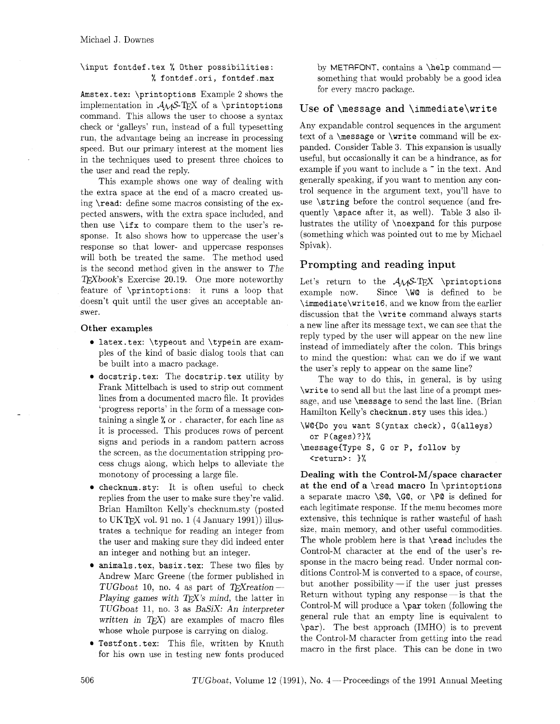### \input fontdef.tex % Other possibilities: % fontdef.ori, fontdef.max

Amstex.tex:  $\prime$ rintoptions Example 2 shows the implementation in *AMS-TEX* of a \printoptions command. This allows the user to choose a syntax check or 'galleys' run, instead of a full typesetting run, the advantage being an increase in processing speed. But our primary interest at the moment lies in the techniques used to present three choices to the user and read the reply.

This example shows one way of dealing with the extra space at the end of a macro created using \read: define some macros consisting of the expected answers, with the extra space included, and then use  $\iota$  if x to compare them to the user's response. It also shows how to uppercase the user's response so that lower- and uppercase responses will both be treated the same. The method used is the second method given in the answer to The TFXbook's Exercise 20.19. One more noteworthy feature of \printoptions: it runs a loop that doesn't quit until the user gives an acceptable answer.

#### **Other examples**

- latex.tex: \typeout and \typein are examples of the kind of basic dialog tools that can be built into a macro package.
- docstrip. tex: The docstrip. tex utility by Frank Mittelbach is used to strip out comment lines from a documented macro file. It provides 'progress reports' in the form of a message containing a single % or . character. for each line as it is processed. This produces rows of percent signs and periods in a random pattern across the screen, as the documentation stripping process chugs along, which helps to alleviate the monotony of processing a large file.
- checknum. sty: It is often useful to check replies from the user to make sure they're valid. Brian Hamilton Kelly's checknumsty (posted to UKTFX vol. 91 no. 1  $(4 \text{ January } 1991)$ ) illustrates a technique for reading an integer from the user and making sure they did indeed enter an integer and nothing but an integer.
- animals .tex, basix.tex: These two files by Andrew Marc Greene (the former published in TUGboat 10, no. 4 as part of T<sub>F</sub>X reation--Playing games with  $TEX's$  mind, the latter in TUGboat 11, no. **3** as BaSiX: An interpreter written in  $T_F X$  are examples of macro files whose whole purpose is carrying on dialog.
- **Testfont.tex:** This file, written by Knuth for his own use in testing new fonts produced

by METAFONT, contains a  $\begin{bmatrix} h & h \\ h & h \end{bmatrix}$ something that would probably be a good idea for every macro package.

# Use of  $\omega$  and  $\imath$  immediate $\ur{$

Any expandable control sequences in the argument text of a \message or \write command will be expanded. Consider Table **3.** This expansion is usually useful, but occasionally it can be a hindrance, as for example if you want to include a " in the text. And generally speaking, if you want to mention any control sequence in the argument text, you'll have to use \string before the control sequence (and frequently \space after it, as well). Table **3** also illustrates the utility of \noexpand for this purpose (something which was pointed out to me by Michael Spivak).

# Prompting and reading input

Let's return to the  $A\mathcal{M}S$ -TEX \printoptions example now. Since \W@ is defined to be \immediate\writel6, and we know from the earlier discussion that the \write command always starts a new line after its message text, we can see that the reply typed by the user will appear on the new line instead of immediately after the colon. This brings to mind the question: what can we do if we want the user's reply to appear on the same line?

The way to do this, in general, is by using \write to send all but the last line of a prompt message, and use \message to send the last line. (Brian Hamilton Kelly's checknum . sty uses this idea.)

\VOID0 you want S(yntax check), G(a1leys) or P(ages)?)%

```
\messageIType S, G or P, follow by 
  <return>: 1%
```
**Dealing with the Control-M/space character at the end of a** \read **macro** In \printoptions a separate macro  $\S_0$ ,  $\G_0$ , or  $\P_0$  is defined for each legitimate response. If the menu becomes more extensive, this technique is rather wasteful of hash size, main memory, and other useful commodities. The whole problem here is that \read includes the Control-M character at the end of the user's response in the macro being read. Under normal conditions Control-M is converted to a space, of course, but another possibility-if the user just presses Return without typing any response $-\text{is that the}$ Control-M will produce a  $\part$  token (following the general rule that an empty line is equivalent to \par). The best approach (IMHO) is to prevent the Control-M character from getting into the read macro in the first place. This can be done in two